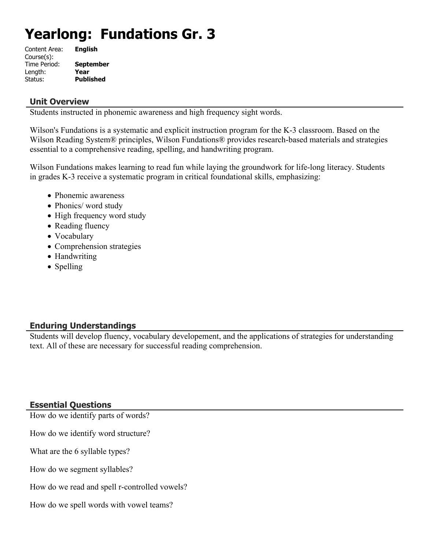# **Yearlong: Fundations Gr. 3**

| <b>English</b>   |
|------------------|
|                  |
| <b>September</b> |
| Year             |
| <b>Published</b> |
|                  |

#### **Unit Overview**

Students instructed in phonemic awareness and high frequency sight words.

Wilson's Fundations is a systematic and explicit instruction program for the K-3 classroom. Based on the Wilson Reading System® principles, Wilson Fundations® provides research-based materials and strategies essential to a comprehensive reading, spelling, and handwriting program.

Wilson Fundations makes learning to read fun while laying the groundwork for life-long literacy. Students in grades K-3 receive a systematic program in critical foundational skills, emphasizing:

- Phonemic awareness
- Phonics/ word study
- High frequency word study
- Reading fluency
- Vocabulary
- Comprehension strategies
- Handwriting
- Spelling

# **Enduring Understandings**

Students will develop fluency, vocabulary developement, and the applications of strategies for understanding text. All of these are necessary for successful reading comprehension.

# **Essential Questions**

How do we identify parts of words?

How do we identify word structure?

What are the 6 syllable types?

How do we segment syllables?

How do we read and spell r-controlled vowels?

How do we spell words with vowel teams?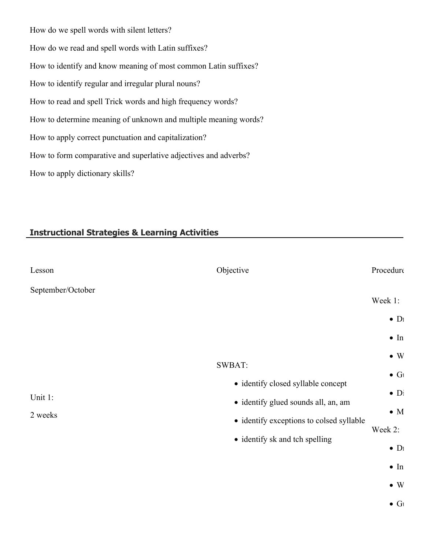How do we spell words with silent letters? How do we read and spell words with Latin suffixes? How to identify and know meaning of most common Latin suffixes? How to identify regular and irregular plural nouns? How to read and spell Trick words and high frequency words? How to determine meaning of unknown and multiple meaning words? How to apply correct punctuation and capitalization? How to form comparative and superlative adjectives and adverbs? How to apply dictionary skills?

# **Instructional Strategies & Learning Activities**

| Lesson             | Objective                                                                                                                                                                | Procedure                                                                                                                         |
|--------------------|--------------------------------------------------------------------------------------------------------------------------------------------------------------------------|-----------------------------------------------------------------------------------------------------------------------------------|
| September/October  |                                                                                                                                                                          | Week 1:<br>$\bullet$ D <sub>1</sub><br>$\bullet$ In                                                                               |
| Unit 1:<br>2 weeks | <b>SWBAT:</b><br>• identify closed syllable concept<br>· identify glued sounds all, an, am<br>· identify exceptions to colsed syllable<br>• identify sk and tch spelling | $\bullet\,$ W<br>$\bullet$ G<br>$\bullet$ Di<br>$\bullet$ M<br>Week 2:<br>$\bullet$ D <sub>1</sub><br>$\bullet$ In<br>$\bullet$ W |

 $\bullet$  G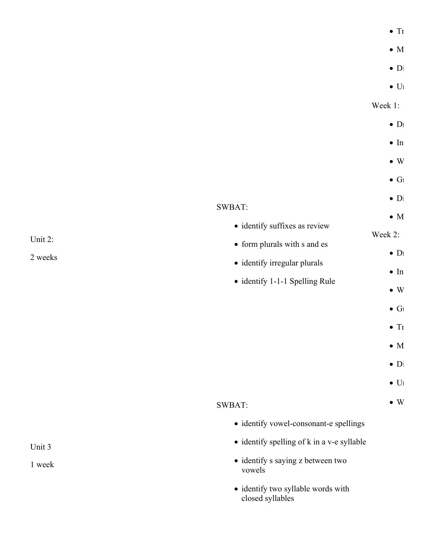| í |
|---|
|---|

- $\bullet$  M
- 
- $\bullet$  Di
- $\bullet$  U<sub>1</sub>

- $\bullet$  D<sub>1</sub>
- $\blacksquare$ In
- $\bullet$  W
- $\bullet$  G

 $\bullet$  D<sub>1</sub>

 $\blacksquare$ In

- form plurals with s and es
- identify irregular plurals
- identify 1-1-1 Spelling Rule

• identify suffixes as review

- $\bullet$  W
- $\bullet$  G
- $\bullet$  Tr
- $\bullet$  M
- $\bullet$  Di
- $\bullet$  U<sub>1</sub>
- $\bullet$  W

SWBAT:

SWBAT:

- identify vowel-consonant-e spellings
- identify spelling of k in a v-e syllable
- identify s saying z between two vowels
- identify two syllable words with closed syllables

Unit 2:

2 weeks

Unit 3

1 week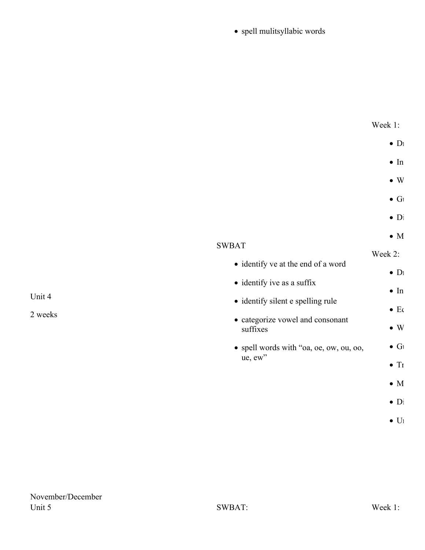# $\bullet$  spell mulitsyllabic words

| Week 1: |  |
|---------|--|
|         |  |

- $\bullet$  Di
- $\blacksquare$ In
- $\bullet$  W
- $\bullet$  Gl
- 
- $\bullet$  Di
- $\bullet$  M

 $\bullet$  D<sub>1</sub>

 $\blacksquare$ In

 $\bullet$  Eq

 $\bullet$  W

 $\bullet$  G

|                                                    | Week $2$ :               |
|----------------------------------------------------|--------------------------|
| • identify ve at the end of a word                 | $\bullet$ $\Gamma$       |
| • identify ive as a suffix                         | $\bullet$ I <sub>1</sub> |
| • identify silent e spelling rule                  | $\bullet$ E              |
| • categorize vowel and consonant<br>suffixes       | $\bullet$ V              |
| • spell words with "oa, oe, ow, ou, oo,<br>ue, ew" | G                        |

- $\bullet$  Tr
- $\bullet$  M
- $\bullet$  Di
- 
- $\bullet$  Uı

2 weeks

Unit 4

SWBAT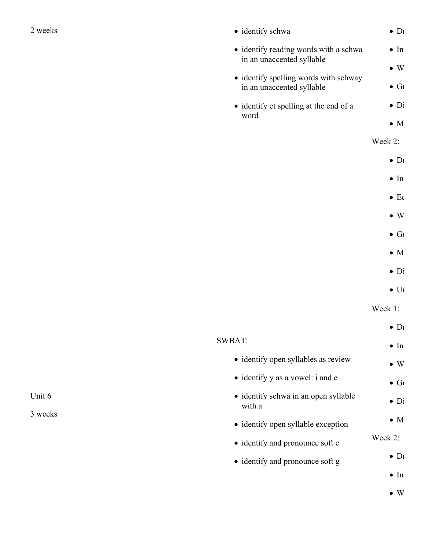| weeks |
|-------|
|-------|

| 2 weeks | • identify schwa                                                   | $\bullet$ D <sub>1</sub> |
|---------|--------------------------------------------------------------------|--------------------------|
|         | • identify reading words with a schwa<br>in an unaccented syllable | $\bullet$ In             |
|         |                                                                    | $\bullet$ W              |
|         | • identify spelling words with schway                              |                          |
|         | in an unaccented syllable                                          | $\bullet$ G              |
|         | • identify et spelling at the end of a                             | $\bullet$ Di             |
|         | word                                                               |                          |
|         |                                                                    | $\bullet$ M              |
|         |                                                                    | Week 2:                  |
|         |                                                                    | $\bullet$ D <sub>1</sub> |
|         |                                                                    | $\bullet$ In             |
|         |                                                                    |                          |

- $\bullet\,$  Ec
- $\bullet$  W
- $\bullet$  Gı
- $\bullet$  M
- $\bullet$  Di
- 
- $\bullet$  Uı

|                                                | $\bullet$ D <sub>1</sub> |
|------------------------------------------------|--------------------------|
| SWBAT:                                         | $\bullet$ In             |
| • identify open syllables as review            | $\bullet$ W              |
| • identify y as a vowel: i and e               | $\bullet$ G              |
| • identify schwa in an open syllable<br>with a | $\bullet$ Di             |
| • identify open syllable exception             | $\bullet$ M              |
| • identify and pronounce soft c                | Week 2:                  |
| • identify and pronounce soft g                | $\bullet$ D <sub>1</sub> |
|                                                | $\bullet$ In             |
|                                                | $\bullet \ \mathrm{W}$   |

Unit 6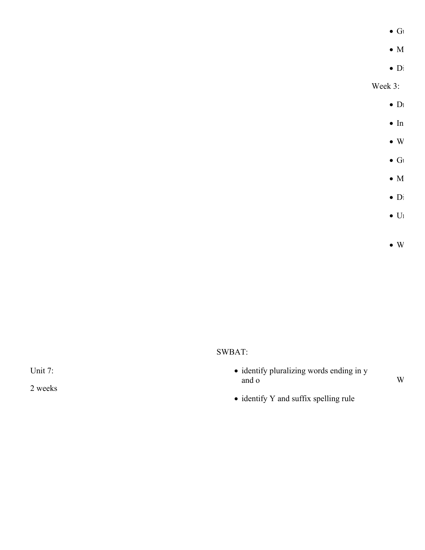$\bullet$  G

- $\bullet$  M
- $\bullet$  Di

Week 3:

- $\bullet$  D<sub>1</sub>
- $\blacksquare$ In
- $\bullet$  W
- $\bullet$  Gl
- 
- $\bullet$  M
- $\bullet$  Di
- $\bullet$  U<sub>1</sub>
- $\bullet$  W

# SWBAT:

- identify pluralizing words ending in y and o
- $\mathbf W$
- $\bullet$ identify Y and suffix spelling rule

Unit 7: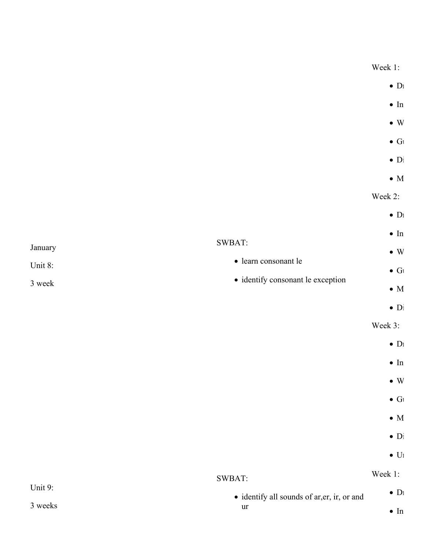January Unit 8: 3 week SWBAT: learn consonant le • identify consonant le exception  $\bullet$  D<sub>1</sub>  $\blacksquare$  In  $\bullet$  W  $\bullet$  Gl  $\bullet$  Di  $\bullet$  M Week 2:  $\bullet$  D<sub>1</sub>  $\blacksquare$ In  $\bullet$  W  $\bullet$  Gl  $\bullet$  M  $\bullet$  Di Week 3:  $\bullet$  D<sub>1</sub>  $\blacksquare$ In  $\bullet$  W  $\bullet$  G  $\bullet$  M  $\bullet$  Di  $\bullet$  U<sub>1</sub> Unit 9: SWBAT: • identify all sounds of ar, er, ir, or and Week 1:  $\bullet$  D<sub>1</sub>

ur

 $\blacksquare$ In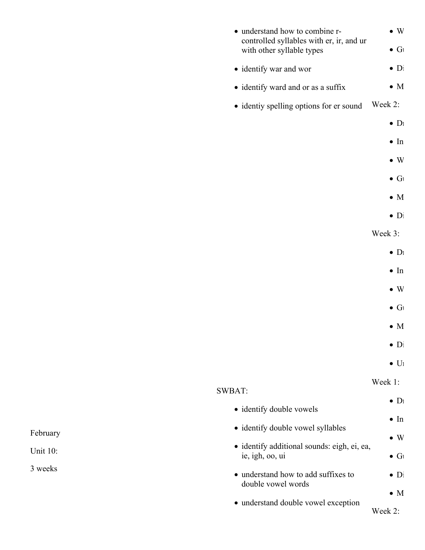| • understand how to combine r-                                        | $\bullet$ W              |
|-----------------------------------------------------------------------|--------------------------|
| controlled syllables with er, ir, and ur<br>with other syllable types | $\bullet$ G              |
| • identify war and wor                                                | $\bullet$ Di             |
| • identify ward and or as a suffix                                    | $\bullet$ M              |
| • identiy spelling options for er sound                               | Week 2:                  |
|                                                                       | $\bullet$ D <sub>1</sub> |
|                                                                       | $\bullet$ In             |
|                                                                       | $\bullet$ W              |
|                                                                       | $\bullet$ G              |
|                                                                       | $\bullet$ M              |
|                                                                       | $\bullet$ Di             |
|                                                                       | Week 3:                  |
|                                                                       | $\bullet$ D <sub>1</sub> |
|                                                                       | $\bullet$ In             |
|                                                                       | $\bullet$ W              |
|                                                                       | $\bullet$ G              |
|                                                                       | $\bullet$ M              |
|                                                                       | $\bullet$ D <sub>1</sub> |
|                                                                       | $\bullet$ U <sub>1</sub> |
| <b>SWBAT:</b>                                                         | Week 1:                  |
| • identify double vowels                                              | $\bullet$ D <sub>1</sub> |
| · identify double vowel syllables                                     | $\bullet$ In             |
| · identify additional sounds: eigh, ei, ea,                           | $\bullet$ W              |
| ie, igh, oo, ui                                                       | $\bullet$ G              |
| • understand how to add suffixes to<br>double vowel words             | $\bullet$ D <sub>1</sub> |
|                                                                       | $\bullet$ M              |
| • understand double vowel exception                                   | Week 2:                  |
|                                                                       |                          |

# February

Unit 10: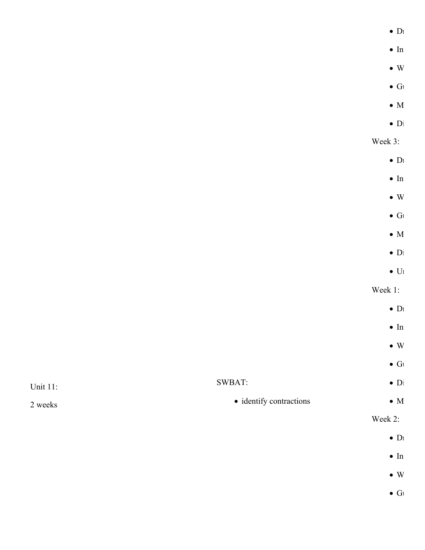|                                 | $\bullet$ $D\!$ |
|---------------------------------|-----------------|
|                                 | $\bullet$ In    |
|                                 | $\bullet\,$ W   |
|                                 | $\bullet$ Gı    |
|                                 | $\bullet$ M     |
|                                 | $\bullet$ Di    |
|                                 | Week 3:         |
|                                 | $\bullet$ Dı    |
|                                 | $\bullet$ In    |
|                                 | $\bullet\,$ W   |
|                                 | $\bullet$ Gı    |
|                                 | $\bullet$ M     |
|                                 | $\bullet$ Di    |
|                                 | $\bullet$ Uı    |
|                                 | Week 1:         |
|                                 | $\bullet$ $D_l$ |
|                                 | $\bullet$ In    |
|                                 | $\bullet\,$ W   |
|                                 | $\bullet$ Gı    |
| SWBAT:                          | $\bullet$ Di    |
| $\bullet$ identify contractions | $\bullet$ M     |
|                                 |                 |

Unit 11:

2 weeks

Week 2:

 $\bullet$  D<sub>1</sub>

- $\blacksquare$ In
- $\bullet$  W
- $\bullet$  G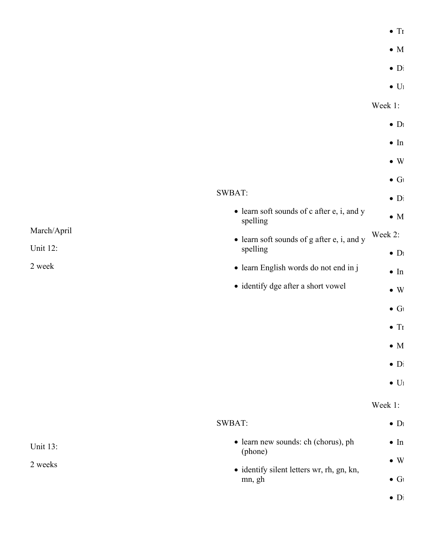| í |
|---|
|---|

- $\bullet$  M
- 
- $\bullet$  Di
- $\bullet$  U<sub>1</sub>

March/April Unit 12: 2 week SWBAT: • learn soft sounds of c after e, i, and y spelling • learn soft sounds of g after e, i, and y spelling learn English words do not end in j • identify dge after a short vowel  $\bullet$  D<sub>1</sub>  $\blacksquare$ In  $\bullet$  W  $\bullet$  G  $\bullet$  Di  $\bullet$  M Week 2:  $\bullet$  D<sub>1</sub>  $\bullet$  In  $\bullet$  W  $\bullet$  G  $\bullet$  Tr  $\bullet$  M  $\bullet$  Di  $\bullet$  U<sub>1</sub> Unit 13: 2 weeks SWBAT: learn new sounds: ch (chorus), ph (phone)  $\bullet$  identify silent letters wr, rh, gn, kn, mn, gh Week 1:  $\bullet$  D<sub>1</sub>  $\bullet$  In  $\bullet$  W  $\bullet$  G  $\bullet$  Di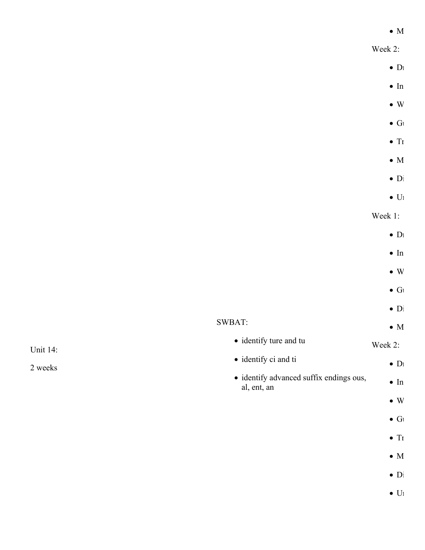#### $\bullet$  M

Week 2:

- $\bullet$  D<sub>1</sub>
- $\blacksquare$ In
- $\bullet$  W
- $\bullet$  G
	- $\bullet$  Tr
	- $\bullet$  M
- $\bullet$  Di
- $\bullet$  U<sub>1</sub>

Week 1:

- $\bullet$  D<sub>1</sub>
- $\bullet$  In
- 
- $\bullet$  W
- $\bullet$  G
- $\bullet$  Di

#### SWBAT:  $\bullet$  M

- identify ture and tu Week 2:
- identify ci and ti  $\bullet$  D<sub>1</sub>
- identify advanced suffix endings ous, al, ent, an  $\blacksquare$ In
	- $\bullet$  W
	- $\bullet$  G
	- $\bullet$  Tr
	- $\bullet$  M
	-
	- $\bullet$  Di
	- $\bullet$  U<sub>1</sub>

Unit 14: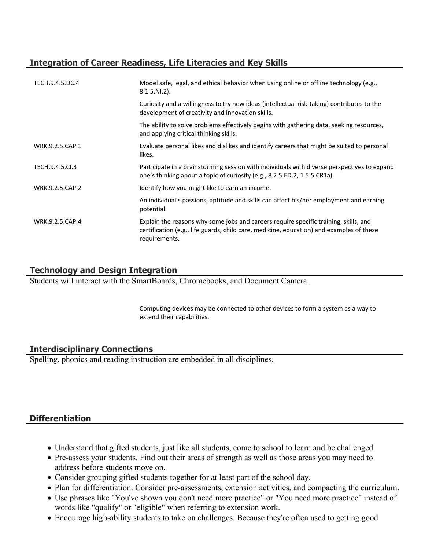# **Integration of Career Readiness, Life Literacies and Key Skills**

| TECH.9.4.5.DC.4 | Model safe, legal, and ethical behavior when using online or offline technology (e.g.,<br>$8.1.5.NI.2$ ).                                                                                         |
|-----------------|---------------------------------------------------------------------------------------------------------------------------------------------------------------------------------------------------|
|                 | Curiosity and a willingness to try new ideas (intellectual risk-taking) contributes to the<br>development of creativity and innovation skills.                                                    |
|                 | The ability to solve problems effectively begins with gathering data, seeking resources,<br>and applying critical thinking skills.                                                                |
| WRK.9.2.5.CAP.1 | Evaluate personal likes and dislikes and identify careers that might be suited to personal<br>likes.                                                                                              |
| TECH.9.4.5.Cl.3 | Participate in a brainstorming session with individuals with diverse perspectives to expand<br>one's thinking about a topic of curiosity (e.g., 8.2.5.ED.2, 1.5.5.CR1a).                          |
| WRK.9.2.5.CAP.2 | Identify how you might like to earn an income.                                                                                                                                                    |
|                 | An individual's passions, aptitude and skills can affect his/her employment and earning<br>potential.                                                                                             |
| WRK.9.2.5.CAP.4 | Explain the reasons why some jobs and careers require specific training, skills, and<br>certification (e.g., life guards, child care, medicine, education) and examples of these<br>requirements. |

# **Technology and Design Integration**

Students will interact with the SmartBoards, Chromebooks, and Document Camera.

Computing devices may be connected to other devices to form a system as a way to extend their capabilities.

# **Interdisciplinary Connections**

Spelling, phonics and reading instruction are embedded in all disciplines.

# **Differentiation**

- Understand that gifted students, just like all students, come to school to learn and be challenged.
- Pre-assess your students. Find out their areas of strength as well as those areas you may need to address before students move on.
- Consider grouping gifted students together for at least part of the school day.
- Plan for differentiation. Consider pre-assessments, extension activities, and compacting the curriculum.
- Use phrases like "You've shown you don't need more practice" or "You need more practice" instead of words like "qualify" or "eligible" when referring to extension work.
- Encourage high-ability students to take on challenges. Because they're often used to getting good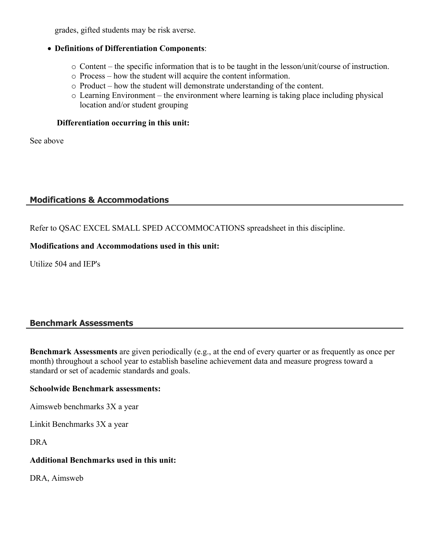grades, gifted students may be risk averse.

#### **Definitions of Differentiation Components**:

- o Content the specific information that is to be taught in the lesson/unit/course of instruction.
- o Process how the student will acquire the content information.
- o Product how the student will demonstrate understanding of the content.
- o Learning Environment the environment where learning is taking place including physical location and/or student grouping

#### **Differentiation occurring in this unit:**

See above

#### **Modifications & Accommodations**

Refer to QSAC EXCEL SMALL SPED ACCOMMOCATIONS spreadsheet in this discipline.

#### **Modifications and Accommodations used in this unit:**

Utilize 504 and IEP's

# **Benchmark Assessments**

**Benchmark Assessments** are given periodically (e.g., at the end of every quarter or as frequently as once per month) throughout a school year to establish baseline achievement data and measure progress toward a standard or set of academic standards and goals.

#### **Schoolwide Benchmark assessments:**

Aimsweb benchmarks 3X a year

Linkit Benchmarks 3X a year

DRA

#### **Additional Benchmarks used in this unit:**

DRA, Aimsweb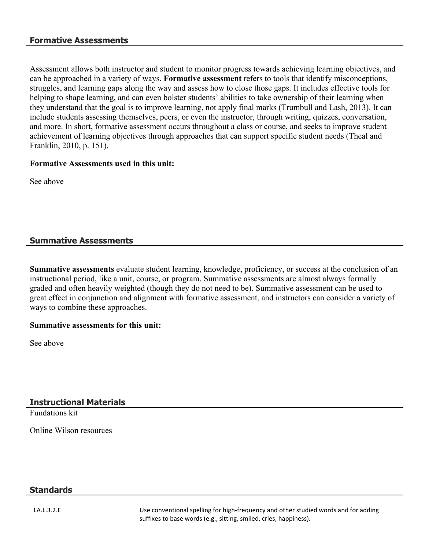#### **Formative Assessments**

Assessment allows both instructor and student to monitor progress towards achieving learning objectives, and can be approached in a variety of ways. **Formative assessment** refers to tools that identify misconceptions, struggles, and learning gaps along the way and assess how to close those gaps. It includes effective tools for helping to shape learning, and can even bolster students' abilities to take ownership of their learning when they understand that the goal is to improve learning, not apply final marks (Trumbull and Lash, 2013). It can include students assessing themselves, peers, or even the instructor, through writing, quizzes, conversation, and more. In short, formative assessment occurs throughout a class or course, and seeks to improve student achievement of learning objectives through approaches that can support specific student needs (Theal and Franklin, 2010, p. 151).

#### **Formative Assessments used in this unit:**

See above

#### **Summative Assessments**

**Summative assessments** evaluate student learning, knowledge, proficiency, or success at the conclusion of an instructional period, like a unit, course, or program. Summative assessments are almost always formally graded and often heavily weighted (though they do not need to be). Summative assessment can be used to great effect in conjunction and alignment with formative assessment, and instructors can consider a variety of ways to combine these approaches.

#### **Summative assessments for this unit:**

See above

#### **Instructional Materials**

Fundations kit

Online Wilson resources

#### **Standards**

LA.L.3.2.E States Use conventional spelling for high-frequency and other studied words and for adding suffixes to base words (e.g., sitting, smiled, cries, happiness).